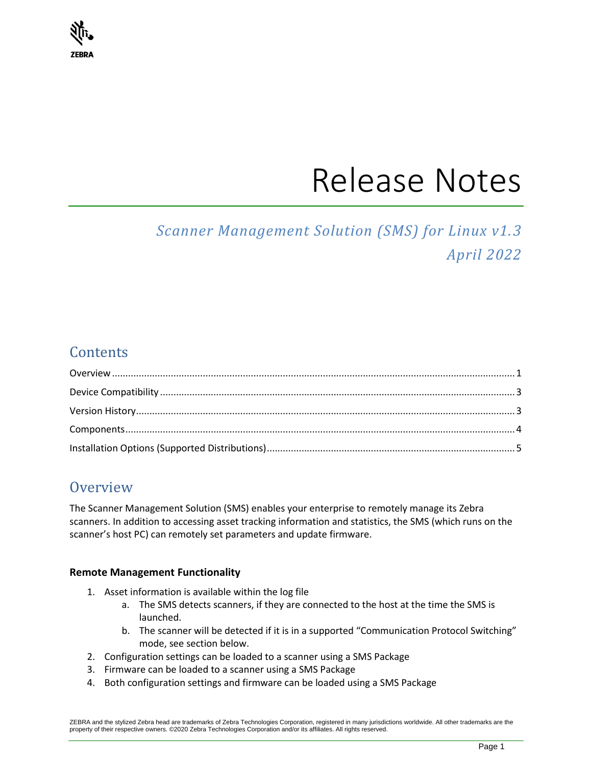# **ZEBRA**

# Release Notes

# *Scanner Management Solution (SMS) for Linux v1.3 April 2022*

# **Contents**

## <span id="page-0-0"></span>**Overview**

The Scanner Management Solution (SMS) enables your enterprise to remotely manage its Zebra scanners. In addition to accessing asset tracking information and statistics, the SMS (which runs on the scanner's host PC) can remotely set parameters and update firmware.

#### **Remote Management Functionality**

- 1. Asset information is available within the log file
	- a. The SMS detects scanners, if they are connected to the host at the time the SMS is launched.
	- b. The scanner will be detected if it is in a supported "Communication Protocol Switching" mode, see section below.
- 2. Configuration settings can be loaded to a scanner using a SMS Package
- 3. Firmware can be loaded to a scanner using a SMS Package
- 4. Both configuration settings and firmware can be loaded using a SMS Package

ZEBRA and the stylized Zebra head are trademarks of Zebra Technologies Corporation, registered in many jurisdictions worldwide. All other trademarks are the property of their respective owners. ©2020 Zebra Technologies Corporation and/or its affiliates. All rights reserved.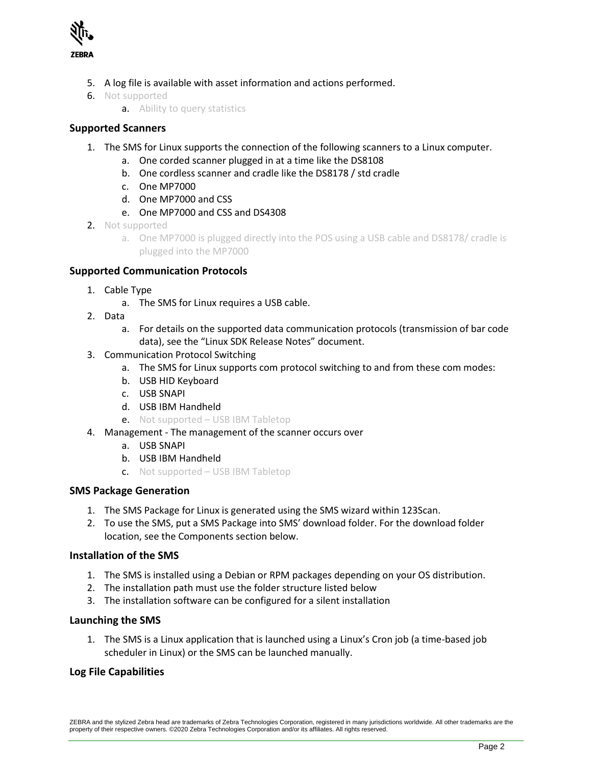

- 5. A log file is available with asset information and actions performed.
- 6. Not supported
	- **a.** Ability to query statistics

#### **Supported Scanners**

- 1. The SMS for Linux supports the connection of the following scanners to a Linux computer.
	- a. One corded scanner plugged in at a time like the DS8108
	- b. One cordless scanner and cradle like the DS8178 / std cradle
	- c. One MP7000
	- d. One MP7000 and CSS
	- e. One MP7000 and CSS and DS4308
- 2. Not supported
	- a. One MP7000 is plugged directly into the POS using a USB cable and DS8178/ cradle is plugged into the MP7000

#### **Supported Communication Protocols**

- 1. Cable Type
	- a. The SMS for Linux requires a USB cable.
- 2. Data
	- a. For details on the supported data communication protocols (transmission of bar code data), see the "Linux SDK Release Notes" document.
- 3. Communication Protocol Switching
	- a. The SMS for Linux supports com protocol switching to and from these com modes:
	- b. USB HID Keyboard
	- c. USB SNAPI
	- d. USB IBM Handheld
	- e. Not supported USB IBM Tabletop
- 4. Management The management of the scanner occurs over
	- a. USB SNAPI
	- b. USB IBM Handheld
	- c. Not supported USB IBM Tabletop

#### **SMS Package Generation**

- 1. The SMS Package for Linux is generated using the SMS wizard within 123Scan.
- 2. To use the SMS, put a SMS Package into SMS' download folder. For the download folder location, see the Components section below.

#### **Installation of the SMS**

- 1. The SMS is installed using a Debian or RPM packages depending on your OS distribution.
- 2. The installation path must use the folder structure listed below
- 3. The installation software can be configured for a silent installation

#### **Launching the SMS**

1. The SMS is a Linux application that is launched using a Linux's Cron job (a time-based job scheduler in Linux) or the SMS can be launched manually.

#### **Log File Capabilities**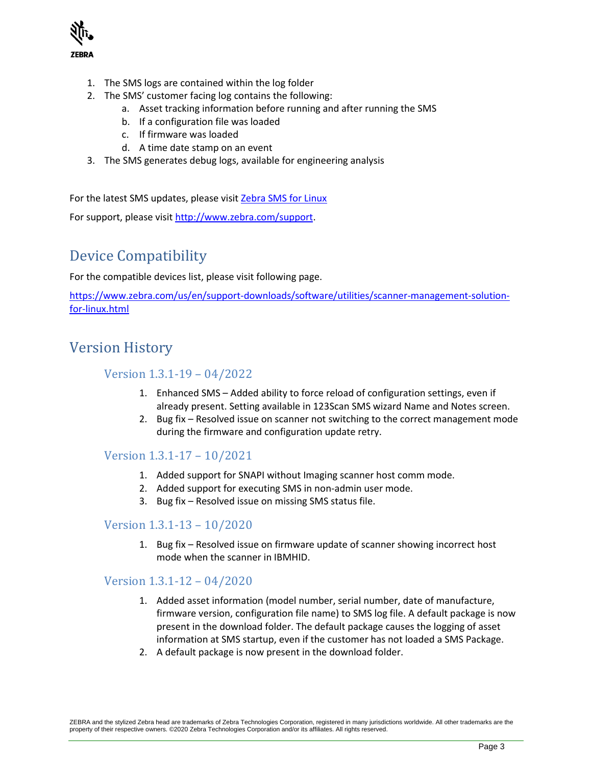

- 1. The SMS logs are contained within the log folder
- 2. The SMS' customer facing log contains the following:
	- a. Asset tracking information before running and after running the SMS
	- b. If a configuration file was loaded
	- c. If firmware was loaded
	- d. A time date stamp on an event
- 3. The SMS generates debug logs, available for engineering analysis

For the latest SMS updates, please visit [Zebra SMS for Linux](https://www.zebra.com/us/en/support-downloads/software/utilities/scanner-management-solution-for-linux.html)

<span id="page-2-0"></span>For support, please visit [http://www.zebra.com/support.](http://www.zebra.com/support)

# Device Compatibility

For the compatible devices list, please visit following page.

[https://www.zebra.com/us/en/support-downloads/software/utilities/scanner-management-solution](https://www.zebra.com/us/en/support-downloads/software/utilities/scanner-management-solution-for-linux.html)[for-linux.html](https://www.zebra.com/us/en/support-downloads/software/utilities/scanner-management-solution-for-linux.html)

### <span id="page-2-1"></span>Version History

#### Version 1.3.1-19 – 04/2022

- 1. Enhanced SMS Added ability to force reload of configuration settings, even if already present. Setting available in 123Scan SMS wizard Name and Notes screen.
- 2. Bug fix Resolved issue on scanner not switching to the correct management mode during the firmware and configuration update retry.

#### Version 1.3.1-17 – 10/2021

- 1. Added support for SNAPI without Imaging scanner host comm mode.
- 2. Added support for executing SMS in non-admin user mode.
- 3. Bug fix Resolved issue on missing SMS status file.

#### Version 1.3.1-13 – 10/2020

1. Bug fix – Resolved issue on firmware update of scanner showing incorrect host mode when the scanner in IBMHID.

#### Version 1.3.1-12 – 04/2020

- 1. Added asset information (model number, serial number, date of manufacture, firmware version, configuration file name) to SMS log file. A default package is now present in the download folder. The default package causes the logging of asset information at SMS startup, even if the customer has not loaded a SMS Package.
- 2. A default package is now present in the download folder.

ZEBRA and the stylized Zebra head are trademarks of Zebra Technologies Corporation, registered in many jurisdictions worldwide. All other trademarks are the property of their respective owners. ©2020 Zebra Technologies Corporation and/or its affiliates. All rights reserved.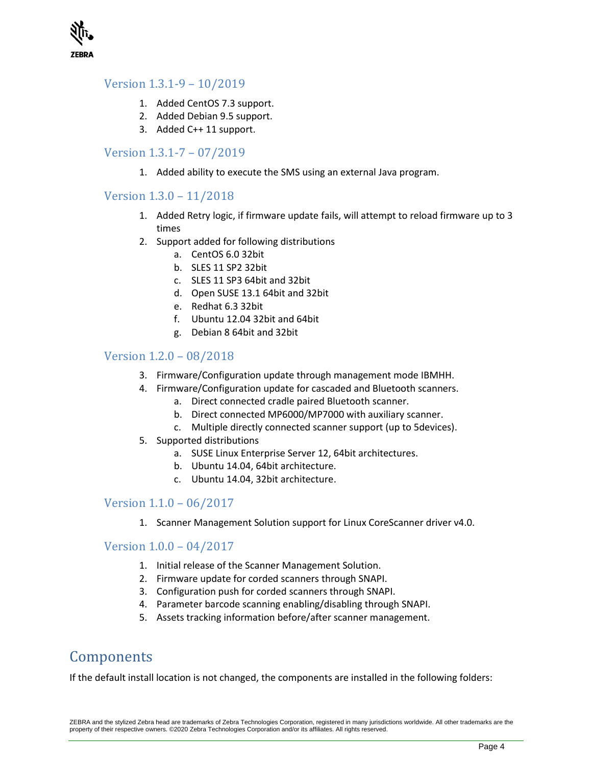

#### Version 1.3.1-9 – 10/2019

- 1. Added CentOS 7.3 support.
- 2. Added Debian 9.5 support.
- 3. Added C++ 11 support.

#### Version 1.3.1-7 – 07/2019

1. Added ability to execute the SMS using an external Java program.

#### Version 1.3.0 – 11/2018

- 1. Added Retry logic, if firmware update fails, will attempt to reload firmware up to 3 times
- 2. Support added for following distributions
	- a. CentOS 6.0 32bit
	- b. SLES 11 SP2 32bit
	- c. SLES 11 SP3 64bit and 32bit
	- d. Open SUSE 13.1 64bit and 32bit
	- e. Redhat 6.3 32bit
	- f. Ubuntu 12.04 32bit and 64bit
	- g. Debian 8 64bit and 32bit

#### Version 1.2.0 – 08/2018

- 3. Firmware/Configuration update through management mode IBMHH.
- 4. Firmware/Configuration update for cascaded and Bluetooth scanners.
	- a. Direct connected cradle paired Bluetooth scanner.
	- b. Direct connected MP6000/MP7000 with auxiliary scanner.
	- c. Multiple directly connected scanner support (up to 5devices).
- 5. Supported distributions
	- a. SUSE Linux Enterprise Server 12, 64bit architectures.
	- b. Ubuntu 14.04, 64bit architecture.
	- c. Ubuntu 14.04, 32bit architecture.

#### Version 1.1.0 – 06/2017

1. Scanner Management Solution support for Linux CoreScanner driver v4.0.

#### Version 1.0.0 – 04/2017

- 1. Initial release of the Scanner Management Solution.
- 2. Firmware update for corded scanners through SNAPI.
- 3. Configuration push for corded scanners through SNAPI.
- 4. Parameter barcode scanning enabling/disabling through SNAPI.
- 5. Assets tracking information before/after scanner management.

### <span id="page-3-0"></span>Components

If the default install location is not changed, the components are installed in the following folders: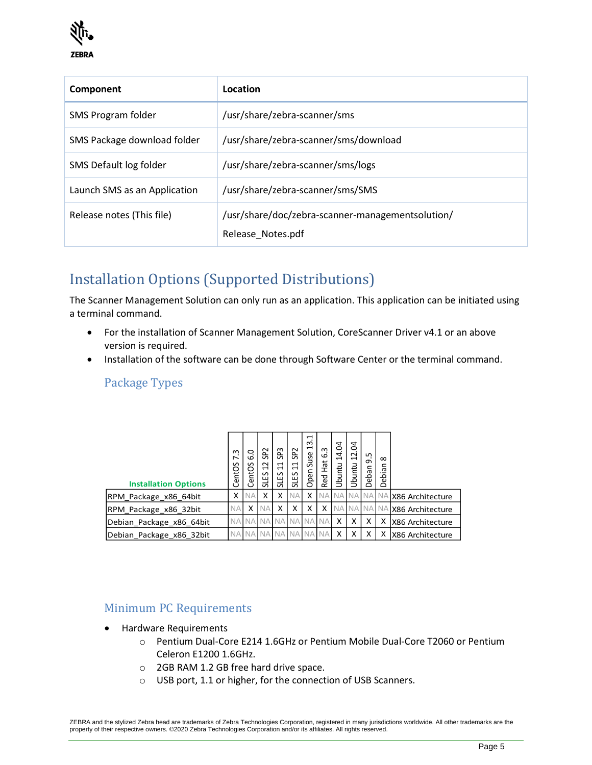

| Component                    | Location                                                              |
|------------------------------|-----------------------------------------------------------------------|
| SMS Program folder           | /usr/share/zebra-scanner/sms                                          |
| SMS Package download folder  | /usr/share/zebra-scanner/sms/download                                 |
| SMS Default log folder       | /usr/share/zebra-scanner/sms/logs                                     |
| Launch SMS as an Application | /usr/share/zebra-scanner/sms/SMS                                      |
| Release notes (This file)    | /usr/share/doc/zebra-scanner-managementsolution/<br>Release Notes.pdf |

# <span id="page-4-0"></span>Installation Options (Supported Distributions)

The Scanner Management Solution can only run as an application. This application can be initiated using a terminal command.

- For the installation of Scanner Management Solution, CoreScanner Driver v4.1 or an above version is required.
- Installation of the software can be done through Software Center or the terminal command.

#### Package Types

| <b>Installation Options</b> | m<br>∼<br>S<br>ent <sub>O</sub><br>ت | $\circ$<br>ة<br>S<br>ent <sub>O</sub><br>Ō | SP <sub>2</sub><br>$\sim$<br>$\mathbf{\mathbf{r}}$<br>SLES | ဣ<br>ō.<br>$\mathbf{\mathbf{r}}$<br>$\overline{\phantom{0}}$<br>SLES | <b>SP2</b><br>$\Xi$<br>SLES | $\mathbf{\mathbf{\mathsf{H}}}$<br>m<br>$\mathbf{\mathbf{t}}$<br>Suse<br>pen<br>$\circ$ | $\sim$<br>ن<br>Hat<br>Red | g<br>4<br>$\overline{\phantom{0}}$<br>Ubuntu | S<br>$\overline{c}$<br>Ubuntu | ഗ<br>თ<br>eban<br>Õ | $\infty$<br>ebian<br>Õ |                              |
|-----------------------------|--------------------------------------|--------------------------------------------|------------------------------------------------------------|----------------------------------------------------------------------|-----------------------------|----------------------------------------------------------------------------------------|---------------------------|----------------------------------------------|-------------------------------|---------------------|------------------------|------------------------------|
| RPM_Package_x86_64bit       | x                                    | ΝA                                         | x                                                          | x                                                                    |                             |                                                                                        |                           |                                              | NA NA NA NA NA                |                     |                        | X86 Architecture             |
| RPM Package x86 32bit       | <b>NA</b>                            | X                                          | <b>NA</b>                                                  | x                                                                    | x                           | x                                                                                      | x                         |                                              |                               |                     |                        | NA NA NA NA X86 Architecture |
| Debian_Package_x86_64bit    | <b>NA</b>                            |                                            | I NA NA NA NA NA                                           |                                                                      |                             |                                                                                        | . NA                      | X                                            | X                             | x                   | X                      | <b>X86 Architecture</b>      |
| Debian_Package_x86_32bit    | <b>NA</b>                            |                                            | I NA NA NA NA                                              |                                                                      |                             | <b>NA</b>                                                                              |                           | x                                            | x                             | x                   | Χ                      | <b>X86 Architecture</b>      |

#### Minimum PC Requirements

- Hardware Requirements
	- o Pentium Dual-Core E214 1.6GHz or Pentium Mobile Dual-Core T2060 or Pentium Celeron E1200 1.6GHz.
	- o 2GB RAM 1.2 GB free hard drive space.
	- o USB port, 1.1 or higher, for the connection of USB Scanners.

ZEBRA and the stylized Zebra head are trademarks of Zebra Technologies Corporation, registered in many jurisdictions worldwide. All other trademarks are the property of their respective owners. ©2020 Zebra Technologies Corporation and/or its affiliates. All rights reserved.